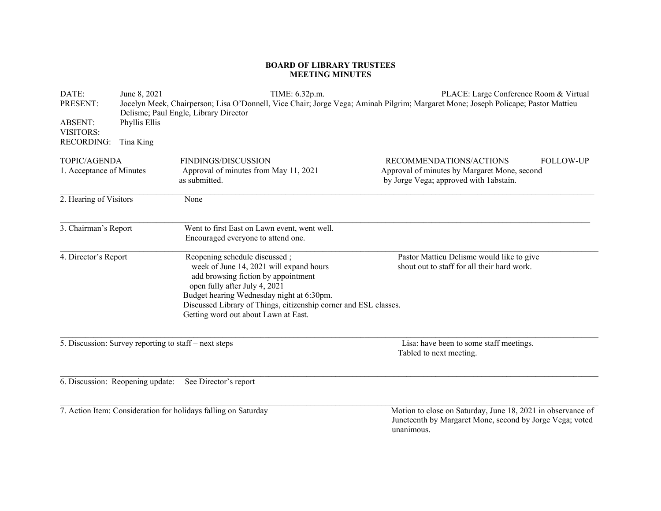## **BOARD OF LIBRARY TRUSTEES MEETING MINUTES**

| DATE:                                                          | June 8, 2021                                                                                                                      | TIME: 6.32p.m.                                                                                           | PLACE: Large Conference Room & Virtual                                                                                  |  |  |
|----------------------------------------------------------------|-----------------------------------------------------------------------------------------------------------------------------------|----------------------------------------------------------------------------------------------------------|-------------------------------------------------------------------------------------------------------------------------|--|--|
| PRESENT:                                                       | Jocelyn Meek, Chairperson; Lisa O'Donnell, Vice Chair; Jorge Vega; Aminah Pilgrim; Margaret Mone; Joseph Policape; Pastor Mattieu |                                                                                                          |                                                                                                                         |  |  |
|                                                                | Delisme; Paul Engle, Library Director                                                                                             |                                                                                                          |                                                                                                                         |  |  |
| <b>ABSENT:</b>                                                 | Phyllis Ellis                                                                                                                     |                                                                                                          |                                                                                                                         |  |  |
| VISITORS:                                                      |                                                                                                                                   |                                                                                                          |                                                                                                                         |  |  |
| <b>RECORDING:</b>                                              | Tina King                                                                                                                         |                                                                                                          |                                                                                                                         |  |  |
| TOPIC/AGENDA                                                   |                                                                                                                                   | FINDINGS/DISCUSSION                                                                                      | RECOMMENDATIONS/ACTIONS<br><b>FOLLOW-UP</b>                                                                             |  |  |
| 1. Acceptance of Minutes                                       |                                                                                                                                   | Approval of minutes from May 11, 2021                                                                    | Approval of minutes by Margaret Mone, second                                                                            |  |  |
|                                                                |                                                                                                                                   | as submitted.                                                                                            | by Jorge Vega; approved with labstain.                                                                                  |  |  |
| 2. Hearing of Visitors                                         |                                                                                                                                   | None                                                                                                     |                                                                                                                         |  |  |
| 3. Chairman's Report                                           |                                                                                                                                   | Went to first East on Lawn event, went well.                                                             |                                                                                                                         |  |  |
|                                                                |                                                                                                                                   | Encouraged everyone to attend one.                                                                       |                                                                                                                         |  |  |
| 4. Director's Report                                           |                                                                                                                                   | Reopening schedule discussed;                                                                            | Pastor Mattieu Delisme would like to give                                                                               |  |  |
|                                                                |                                                                                                                                   | week of June 14, 2021 will expand hours<br>add browsing fiction by appointment                           | shout out to staff for all their hard work.                                                                             |  |  |
|                                                                |                                                                                                                                   | open fully after July 4, 2021                                                                            |                                                                                                                         |  |  |
|                                                                |                                                                                                                                   | Budget hearing Wednesday night at 6:30pm.                                                                |                                                                                                                         |  |  |
|                                                                |                                                                                                                                   | Discussed Library of Things, citizenship corner and ESL classes.<br>Getting word out about Lawn at East. |                                                                                                                         |  |  |
|                                                                |                                                                                                                                   |                                                                                                          |                                                                                                                         |  |  |
| 5. Discussion: Survey reporting to staff – next steps          |                                                                                                                                   |                                                                                                          | Lisa: have been to some staff meetings.<br>Tabled to next meeting.                                                      |  |  |
|                                                                |                                                                                                                                   |                                                                                                          |                                                                                                                         |  |  |
| 6. Discussion: Reopening update:                               |                                                                                                                                   | See Director's report                                                                                    |                                                                                                                         |  |  |
|                                                                |                                                                                                                                   |                                                                                                          |                                                                                                                         |  |  |
| 7. Action Item: Consideration for holidays falling on Saturday |                                                                                                                                   |                                                                                                          | Motion to close on Saturday, June 18, 2021 in observance of<br>Juneteenth by Margaret Mone, second by Jorge Vega; voted |  |  |
|                                                                |                                                                                                                                   |                                                                                                          | unanimous.                                                                                                              |  |  |